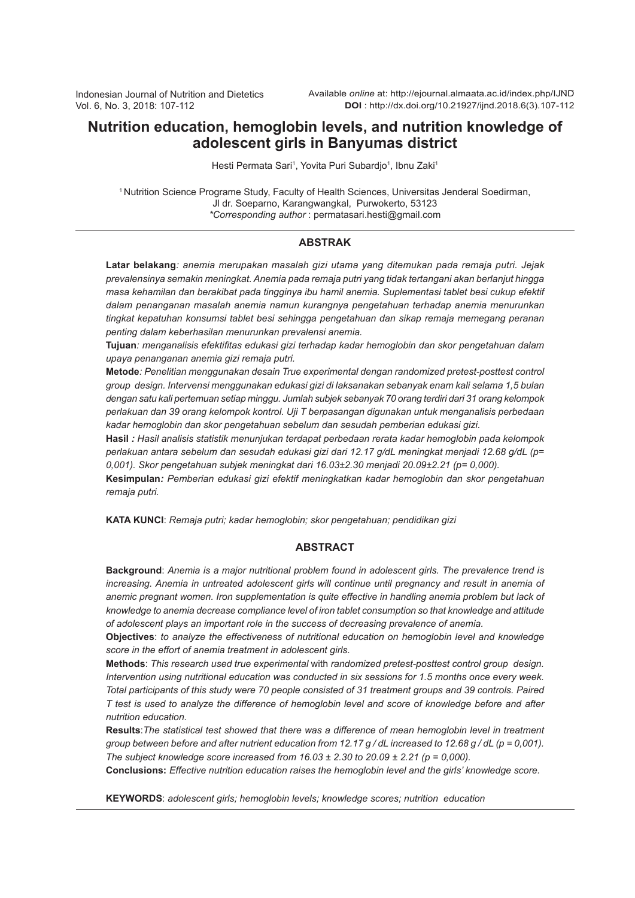Indonesian Journal of Nutrition and Dietetics Vol. 6, No. 3, 2018: 107-112

of Nutrition and Dietetics **Available** *online* at: http://ejournal.almaata.ac.id/index.php/IJND **DOI** : http://dx.doi.org/10.21927/ijnd.2018.6(3).107-112

# **Nutrition education, hemoglobin levels, and nutrition knowledge of adolescent girls in Banyumas district**

Hesti Permata Sari<sup>1</sup>, Yovita Puri Subardjo<sup>1</sup>, Ibnu Zaki<sup>1</sup>

<sup>1</sup> Nutrition Science Programe Study, Faculty of Health Sciences, Universitas Jenderal Soedirman, Jl dr. Soeparno, Karangwangkal, Purwokerto, 53123 *\*Corresponding author* : permatasari.hesti@gmail.com

### **ABSTRAK**

**Latar belakang***: anemia merupakan masalah gizi utama yang ditemukan pada remaja putri. Jejak prevalensinya semakin meningkat. Anemia pada remaja putri yang tidak tertangani akan berlanjut hingga masa kehamilan dan berakibat pada tingginya ibu hamil anemia. Suplementasi tablet besi cukup efektif dalam penanganan masalah anemia namun kurangnya pengetahuan terhadap anemia menurunkan tingkat kepatuhan konsumsi tablet besi sehingga pengetahuan dan sikap remaja memegang peranan penting dalam keberhasilan menurunkan prevalensi anemia.*

**Tujuan***: menganalisis efektifitas edukasi gizi terhadap kadar hemoglobin dan skor pengetahuan dalam upaya penanganan anemia gizi remaja putri.*

**Metode***: Penelitian menggunakan desain True experimental dengan randomized pretest-posttest control group design. Intervensi menggunakan edukasi gizi di laksanakan sebanyak enam kali selama 1,5 bulan dengan satu kali pertemuan setiap minggu. Jumlah subjek sebanyak 70 orang terdiri dari 31 orang kelompok perlakuan dan 39 orang kelompok kontrol. Uji T berpasangan digunakan untuk menganalisis perbedaan kadar hemoglobin dan skor pengetahuan sebelum dan sesudah pemberian edukasi gizi.*

**Hasil** *: Hasil analisis statistik menunjukan terdapat perbedaan rerata kadar hemoglobin pada kelompok perlakuan antara sebelum dan sesudah edukasi gizi dari 12.17 g/dL meningkat menjadi 12.68 g/dL (p= 0,001). Skor pengetahuan subjek meningkat dari 16.03±2.30 menjadi 20.09±2.21 (p= 0,000).*

**Kesimpulan***: Pemberian edukasi gizi efektif meningkatkan kadar hemoglobin dan skor pengetahuan remaja putri.*

**KATA KUNCI**: *Remaja putri; kadar hemoglobin; skor pengetahuan; pendidikan gizi*

#### **ABSTRACT**

**Background**: *Anemia is a major nutritional problem found in adolescent girls. The prevalence trend is increasing. Anemia in untreated adolescent girls will continue until pregnancy and result in anemia of anemic pregnant women. Iron supplementation is quite effective in handling anemia problem but lack of knowledge to anemia decrease compliance level of iron tablet consumption so that knowledge and attitude of adolescent plays an important role in the success of decreasing prevalence of anemia.*

**Objectives**: *to analyze the effectiveness of nutritional education on hemoglobin level and knowledge score in the effort of anemia treatment in adolescent girls.*

**Methods**: *This research used true experimental* with *randomized pretest-posttest control group design. Intervention using nutritional education was conducted in six sessions for 1.5 months once every week. Total participants of this study were 70 people consisted of 31 treatment groups and 39 controls. Paired T test is used to analyze the difference of hemoglobin level and score of knowledge before and after nutrition education.*

**Results**:*The statistical test showed that there was a difference of mean hemoglobin level in treatment group between before and after nutrient education from 12.17 g / dL increased to 12.68 g / dL (p = 0,001). The subject knowledge score increased from 16.03 ± 2.30 to 20.09 ± 2.21 (p = 0,000).* 

**Conclusions:** *Effective nutrition education raises the hemoglobin level and the girls' knowledge score.*

**KEYWORDS**: *adolescent girls; hemoglobin levels; knowledge scores; nutrition education*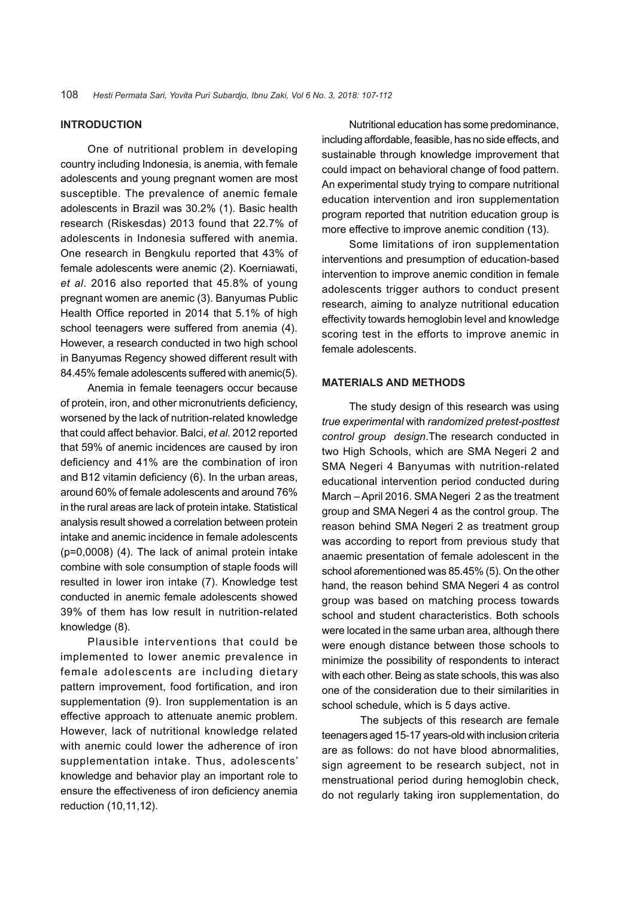#### **INTRODUCTION**

One of nutritional problem in developing country including Indonesia, is anemia, with female adolescents and young pregnant women are most susceptible. The prevalence of anemic female adolescents in Brazil was 30.2% (1). Basic health research (Riskesdas) 2013 found that 22.7% of adolescents in Indonesia suffered with anemia. One research in Bengkulu reported that 43% of female adolescents were anemic (2). Koerniawati, *et al*. 2016 also reported that 45.8% of young pregnant women are anemic (3). Banyumas Public Health Office reported in 2014 that 5.1% of high school teenagers were suffered from anemia (4). However, a research conducted in two high school in Banyumas Regency showed different result with 84.45% female adolescents suffered with anemic(5).

Anemia in female teenagers occur because of protein, iron, and other micronutrients deficiency, worsened by the lack of nutrition-related knowledge that could affect behavior. Balci, *et al.* 2012 reported that 59% of anemic incidences are caused by iron deficiency and 41% are the combination of iron and B12 vitamin deficiency (6). In the urban areas, around 60% of female adolescents and around 76% in the rural areas are lack of protein intake. Statistical analysis result showed a correlation between protein intake and anemic incidence in female adolescents (p=0,0008) (4). The lack of animal protein intake combine with sole consumption of staple foods will resulted in lower iron intake (7). Knowledge test conducted in anemic female adolescents showed 39% of them has low result in nutrition-related knowledge (8).

Plausible interventions that could be implemented to lower anemic prevalence in female adolescents are including dietary pattern improvement, food fortification, and iron supplementation (9). Iron supplementation is an effective approach to attenuate anemic problem. However, lack of nutritional knowledge related with anemic could lower the adherence of iron supplementation intake. Thus, adolescents' knowledge and behavior play an important role to ensure the effectiveness of iron deficiency anemia reduction (10,11,12).

Nutritional education has some predominance, including affordable, feasible, has no side effects, and sustainable through knowledge improvement that could impact on behavioral change of food pattern. An experimental study trying to compare nutritional education intervention and iron supplementation program reported that nutrition education group is more effective to improve anemic condition (13).

Some limitations of iron supplementation interventions and presumption of education-based intervention to improve anemic condition in female adolescents trigger authors to conduct present research, aiming to analyze nutritional education effectivity towards hemoglobin level and knowledge scoring test in the efforts to improve anemic in female adolescents.

#### **MATERIALS AND METHODS**

The study design of this research was using *true experimental* with *randomized pretest-posttest control group design*.The research conducted in two High Schools, which are SMA Negeri 2 and SMA Negeri 4 Banyumas with nutrition-related educational intervention period conducted during March – April 2016. SMA Negeri 2 as the treatment group and SMA Negeri 4 as the control group. The reason behind SMA Negeri 2 as treatment group was according to report from previous study that anaemic presentation of female adolescent in the school aforementioned was 85.45% (5). On the other hand, the reason behind SMA Negeri 4 as control group was based on matching process towards school and student characteristics. Both schools were located in the same urban area, although there were enough distance between those schools to minimize the possibility of respondents to interact with each other. Being as state schools, this was also one of the consideration due to their similarities in school schedule, which is 5 days active.

The subjects of this research are female teenagers aged 15-17 years-old with inclusion criteria are as follows: do not have blood abnormalities, sign agreement to be research subject, not in menstruational period during hemoglobin check, do not regularly taking iron supplementation, do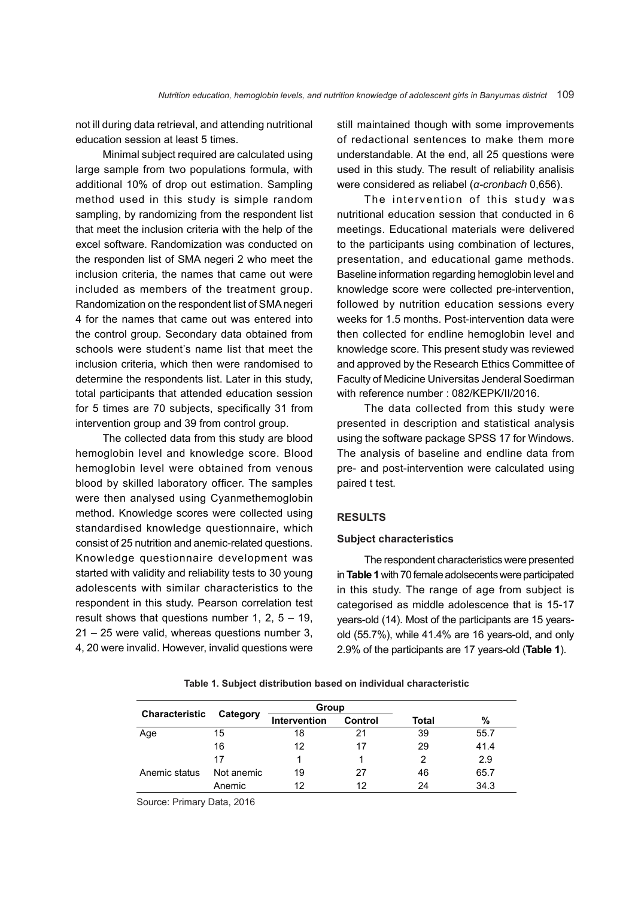not ill during data retrieval, and attending nutritional education session at least 5 times.

Minimal subject required are calculated using large sample from two populations formula, with additional 10% of drop out estimation. Sampling method used in this study is simple random sampling, by randomizing from the respondent list that meet the inclusion criteria with the help of the excel software. Randomization was conducted on the responden list of SMA negeri 2 who meet the inclusion criteria, the names that came out were included as members of the treatment group. Randomization on the respondent list of SMA negeri 4 for the names that came out was entered into the control group. Secondary data obtained from schools were student's name list that meet the inclusion criteria, which then were randomised to determine the respondents list. Later in this study, total participants that attended education session for 5 times are 70 subjects, specifically 31 from intervention group and 39 from control group.

The collected data from this study are blood hemoglobin level and knowledge score. Blood hemoglobin level were obtained from venous blood by skilled laboratory officer. The samples were then analysed using Cyanmethemoglobin method. Knowledge scores were collected using standardised knowledge questionnaire, which consist of 25 nutrition and anemic-related questions. Knowledge questionnaire development was started with validity and reliability tests to 30 young adolescents with similar characteristics to the respondent in this study. Pearson correlation test result shows that questions number 1, 2,  $5 - 19$ , 21 – 25 were valid, whereas questions number 3, 4, 20 were invalid. However, invalid questions were

still maintained though with some improvements of redactional sentences to make them more understandable. At the end, all 25 questions were used in this study. The result of reliability analisis were considered as reliabel (*α-cronbach* 0,656).

The intervention of this study was nutritional education session that conducted in 6 meetings. Educational materials were delivered to the participants using combination of lectures, presentation, and educational game methods. Baseline information regarding hemoglobin level and knowledge score were collected pre-intervention, followed by nutrition education sessions every weeks for 1.5 months. Post-intervention data were then collected for endline hemoglobin level and knowledge score. This present study was reviewed and approved by the Research Ethics Committee of Faculty of Medicine Universitas Jenderal Soedirman with reference number : 082/KEPK/II/2016.

The data collected from this study were presented in description and statistical analysis using the software package SPSS 17 for Windows. The analysis of baseline and endline data from pre- and post-intervention were calculated using paired t test.

### **RESULTS**

#### **Subject characteristics**

The respondent characteristics were presented in **Table 1** with 70 female adolsecents were participated in this study. The range of age from subject is categorised as middle adolescence that is 15-17 years-old (14). Most of the participants are 15 yearsold (55.7%), while 41.4% are 16 years-old, and only 2.9% of the participants are 17 years-old (**Table 1**).

**Table 1. Subject distribution based on individual characteristic**

|                       |            | Group        |         |       |      |  |
|-----------------------|------------|--------------|---------|-------|------|--|
| <b>Characteristic</b> | Category   | Intervention | Control | Total | %    |  |
| Age                   | 15         | 18           | 21      | 39    | 55.7 |  |
|                       | 16         | 12           | 17      | 29    | 41.4 |  |
|                       | 17         |              |         | 2     | 2.9  |  |
| Anemic status         | Not anemic | 19           | 27      | 46    | 65.7 |  |
|                       | Anemic     | 12           | 12      | 24    | 34.3 |  |

Source: Primary Data, 2016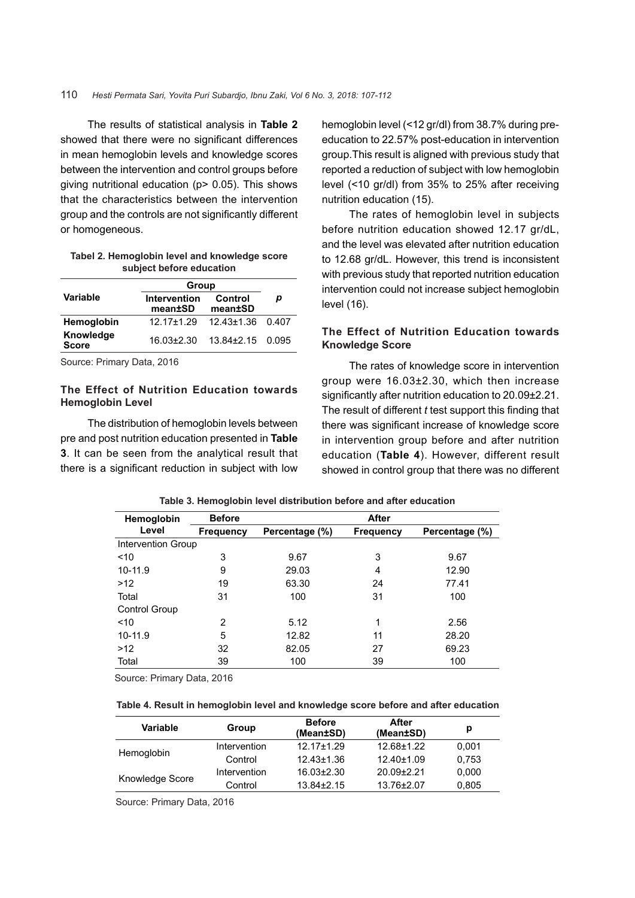The results of statistical analysis in **Table 2** showed that there were no significant differences in mean hemoglobin levels and knowledge scores between the intervention and control groups before giving nutritional education (p> 0.05). This shows that the characteristics between the intervention group and the controls are not significantly different or homogeneous.

**Tabel 2. Hemoglobin level and knowledge score subject before education** 

|                           | Group                          |                        |   |  |
|---------------------------|--------------------------------|------------------------|---|--|
| Variable                  | <b>Intervention</b><br>mean±SD | Control<br>mean±SD     | р |  |
| Hemoglobin                | $12.17 + 1.29$                 | $12.43 \pm 1.36$ 0.407 |   |  |
| Knowledge<br><b>Score</b> | $16.03 \pm 2.30$               | $13.84 \pm 2.15$ 0.095 |   |  |

Source: Primary Data, 2016

# **The Effect of Nutrition Education towards Hemoglobin Level**

The distribution of hemoglobin levels between pre and post nutrition education presented in **Table 3**. It can be seen from the analytical result that there is a significant reduction in subject with low

hemoglobin level (<12 gr/dl) from 38.7% during preeducation to 22.57% post-education in intervention group.This result is aligned with previous study that reported a reduction of subject with low hemoglobin level (<10 gr/dl) from 35% to 25% after receiving nutrition education (15).

The rates of hemoglobin level in subjects before nutrition education showed 12.17 gr/dL, and the level was elevated after nutrition education to 12.68 gr/dL. However, this trend is inconsistent with previous study that reported nutrition education intervention could not increase subject hemoglobin level (16).

# **The Effect of Nutrition Education towards Knowledge Score**

The rates of knowledge score in intervention group were 16.03±2.30, which then increase significantly after nutrition education to 20.09±2.21. The result of different *t* test support this finding that there was significant increase of knowledge score in intervention group before and after nutrition education (**Table 4**). However, different result showed in control group that there was no different

| Hemoglobin           | <b>Before</b>    | <b>After</b>   |                  |                |  |
|----------------------|------------------|----------------|------------------|----------------|--|
| Level                | <b>Frequency</b> | Percentage (%) | <b>Frequency</b> | Percentage (%) |  |
| Intervention Group   |                  |                |                  |                |  |
| 10                   | 3                | 9.67           | 3                | 9.67           |  |
| $10-11.9$            | 9                | 29.03          | 4                | 12.90          |  |
| >12                  | 19               | 63.30          | 24               | 77.41          |  |
| Total                | 31               | 100            | 31               | 100            |  |
| <b>Control Group</b> |                  |                |                  |                |  |
| 10                   | 2                | 5.12           | 1                | 2.56           |  |
| $10-11.9$            | 5                | 12.82          | 11               | 28.20          |  |
| >12                  | 32               | 82.05          | 27               | 69.23          |  |
| Total                | 39               | 100            | 39               | 100            |  |

**Table 3. Hemoglobin level distribution before and after education**

Source: Primary Data, 2016

**Table 4. Result in hemoglobin level and knowledge score before and after education**

| Variable        | Group        | <b>Before</b><br>(Mean±SD) | After<br>(Mean±SD) | р     |
|-----------------|--------------|----------------------------|--------------------|-------|
|                 | Intervention | $12.17 \pm 1.29$           | 12.68±1.22         | 0.001 |
| Hemoglobin      | Control      | $12.43 \pm 1.36$           | $12.40 \pm 1.09$   | 0.753 |
| Knowledge Score | Intervention | $16.03 \pm 2.30$           | 20.09±2.21         | 0.000 |
|                 | Control      | $13.84 \pm 2.15$           | 13.76±2.07         | 0,805 |

Source: Primary Data, 2016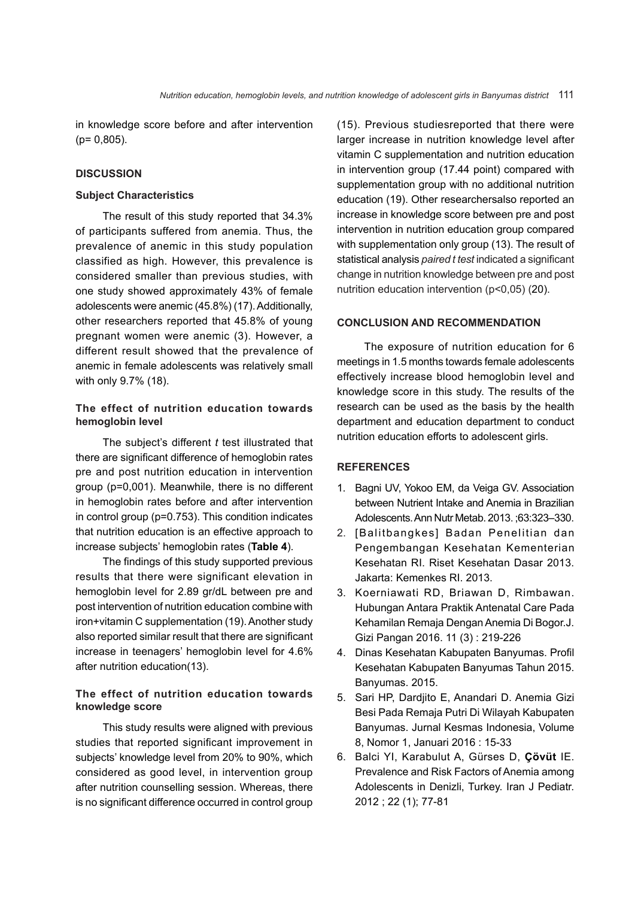in knowledge score before and after intervention  $(p= 0, 805)$ .

# **DISCUSSION**

## **Subject Characteristics**

The result of this study reported that 34.3% of participants suffered from anemia. Thus, the prevalence of anemic in this study population classified as high. However, this prevalence is considered smaller than previous studies, with one study showed approximately 43% of female adolescents were anemic (45.8%) (17). Additionally, other researchers reported that 45.8% of young pregnant women were anemic (3). However, a different result showed that the prevalence of anemic in female adolescents was relatively small with only 9.7% (18).

# **The effect of nutrition education towards hemoglobin level**

The subject's different *t* test illustrated that there are significant difference of hemoglobin rates pre and post nutrition education in intervention group (p=0,001). Meanwhile, there is no different in hemoglobin rates before and after intervention in control group (p=0.753). This condition indicates that nutrition education is an effective approach to increase subjects' hemoglobin rates (**Table 4**).

The findings of this study supported previous results that there were significant elevation in hemoglobin level for 2.89 gr/dL between pre and post intervention of nutrition education combine with iron+vitamin C supplementation (19). Another study also reported similar result that there are significant increase in teenagers' hemoglobin level for 4.6% after nutrition education(13).

# **The effect of nutrition education towards knowledge score**

This study results were aligned with previous studies that reported significant improvement in subjects' knowledge level from 20% to 90%, which considered as good level, in intervention group after nutrition counselling session. Whereas, there is no significant difference occurred in control group (15). Previous studiesreported that there were larger increase in nutrition knowledge level after vitamin C supplementation and nutrition education in intervention group (17.44 point) compared with supplementation group with no additional nutrition education (19). Other researchersalso reported an increase in knowledge score between pre and post intervention in nutrition education group compared with supplementation only group (13). The result of statistical analysis *paired t test* indicated a significant change in nutrition knowledge between pre and post nutrition education intervention (p<0,05) (20).

# **CONCLUSION AND RECOMMENDATION**

The exposure of nutrition education for 6 meetings in 1.5 months towards female adolescents effectively increase blood hemoglobin level and knowledge score in this study. The results of the research can be used as the basis by the health department and education department to conduct nutrition education efforts to adolescent girls.

### **REFERENCES**

- 1. Bagni UV, Yokoo EM, da Veiga GV. Association between Nutrient Intake and Anemia in Brazilian Adolescents. Ann Nutr Metab. 2013. ;63:323–330.
- 2. [Balitbangkes] Badan Penelitian dan Pengembangan Kesehatan Kementerian Kesehatan RI. Riset Kesehatan Dasar 2013. Jakarta: Kemenkes RI. 2013.
- 3. Koerniawati RD, Briawan D, Rimbawan. Hubungan Antara Praktik Antenatal Care Pada Kehamilan Remaja Dengan Anemia Di Bogor.J. Gizi Pangan 2016. 11 (3) : 219-226
- 4. Dinas Kesehatan Kabupaten Banyumas. Profil Kesehatan Kabupaten Banyumas Tahun 2015. Banyumas. 2015.
- 5. Sari HP, Dardjito E, Anandari D. Anemia Gizi Besi Pada Remaja Putri Di Wilayah Kabupaten Banyumas. Jurnal Kesmas Indonesia, Volume 8, Nomor 1, Januari 2016 : 15-33
- 6. Balci YI, Karabulut A, Gürses D, **Çövüt** IE. Prevalence and Risk Factors of Anemia among Adolescents in Denizli, Turkey. Iran J Pediatr. 2012 ; 22 (1); 77-81